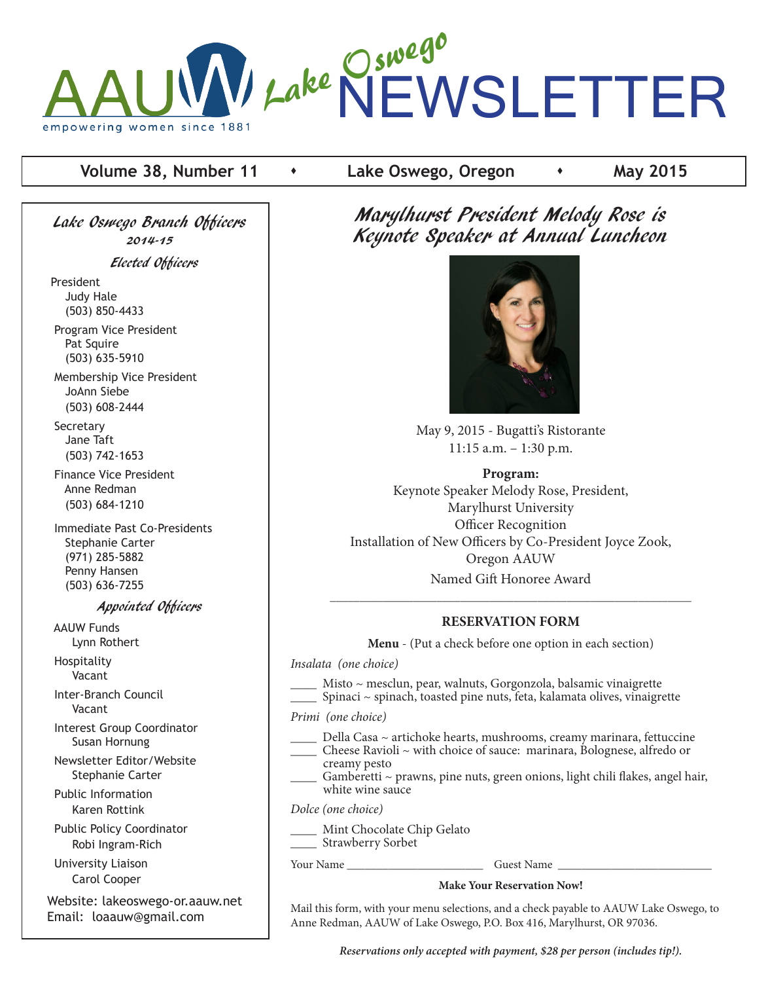

#### **Volume 38, Number 11**  $\cdot$  Lake Oswego, Oregon  $\cdot$  May 2015

Lake Oswego Branch Officers 2014-15

Elected Officers

President Judy Hale (503) 850-4433

 Program Vice President Pat Squire (503) 635-5910

 Membership Vice President JoAnn Siebe (503) 608-2444

**Secretary**  Jane Taft (503) 742-1653

 Finance Vice President Anne Redman (503) 684-1210

 Immediate Past Co-Presidents Stephanie Carter (971) 285-5882 Penny Hansen (503) 636-7255

#### Appointed Officers

 AAUW Funds Lynn Rothert Hospitality

Vacant

 Inter-Branch Council Vacant

 Interest Group Coordinator Susan Hornung

 Newsletter Editor/Website Stephanie Carter

 Public Information Karen Rottink

 Public Policy Coordinator Robi Ingram-Rich

 University Liaison Carol Cooper

Website: lakeoswego-or.aauw.net Email: loaauw@gmail.com

Marylhurst President Melody Rose is Keynote Speaker at Annual Luncheon



May 9, 2015 - Bugatti's Ristorante 11:15 a.m. – 1:30 p.m.

#### **Program:**

Keynote Speaker Melody Rose, President, Marylhurst University Officer Recognition Installation of New Officers by Co-President Joyce Zook, Oregon AAUW Named Gift Honoree Award

#### **RESERVATION FORM**

\_\_\_\_\_\_\_\_\_\_\_\_\_\_\_\_\_\_\_\_\_\_\_\_\_\_\_\_\_\_\_\_\_\_\_\_\_\_\_\_\_\_\_\_\_\_\_\_\_\_\_\_\_\_\_\_\_\_\_\_\_

**Menu** - (Put a check before one option in each section)

*Insalata (one choice)*

Misto ~ mesclun, pear, walnuts, Gorgonzola, balsamic vinaigrette \_\_\_\_ Spinaci ~ spinach, toasted pine nuts, feta, kalamata olives, vinaigrette

*Primi (one choice)*

Della Casa ~ artichoke hearts, mushrooms, creamy marinara, fettuccine

- \_\_\_\_ Cheese Ravioli ~ with choice of sauce: marinara, Bolognese, alfredo or
- creamy pesto
- $G$ amberetti ~ prawns, pine nuts, green onions, light chili flakes, angel hair, white wine sauce

*Dolce (one choice)*

Mint Chocolate Chip Gelato \_\_\_\_ Strawberry Sorbet

Your Name **The Contract Server Name** Guest Name **Guest Name** 

#### **Make Your Reservation Now!**

Mail this form, with your menu selections, and a check payable to AAUW Lake Oswego, to Anne Redman, AAUW of Lake Oswego, P.O. Box 416, Marylhurst, OR 97036.

*Reservations only accepted with payment, \$28 per person (includes tip!).*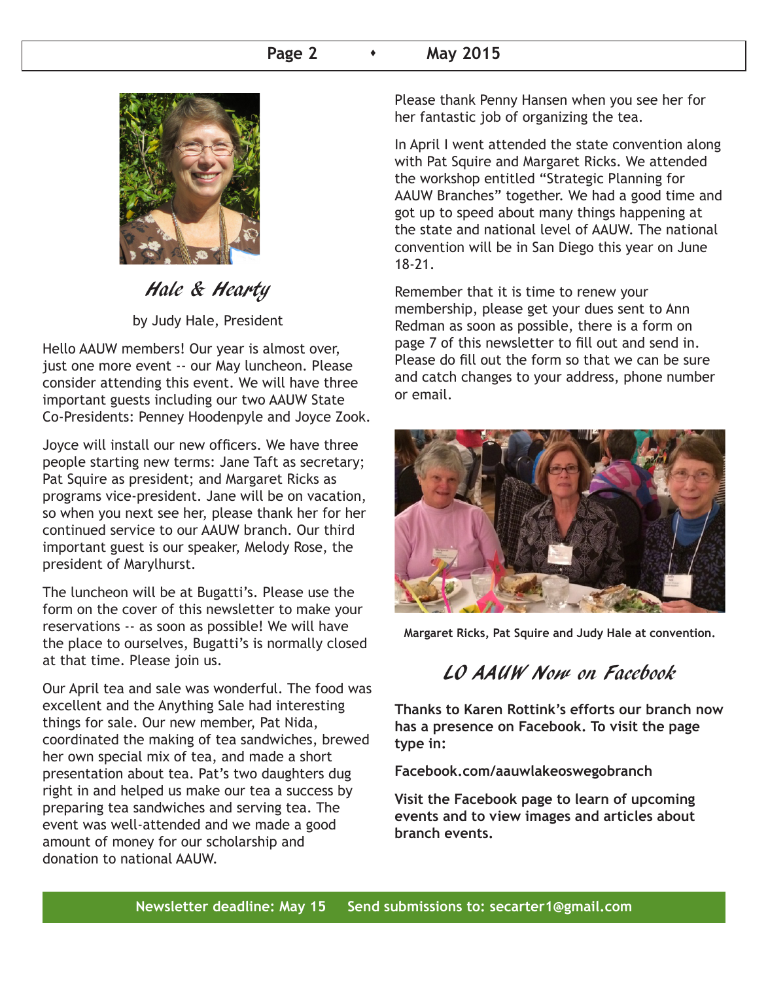#### **Page 2 A May 2015**



## Hale & Hearty

by Judy Hale, President

Hello AAUW members! Our year is almost over, just one more event -- our May luncheon. Please consider attending this event. We will have three important guests including our two AAUW State Co-Presidents: Penney Hoodenpyle and Joyce Zook.

Joyce will install our new officers. We have three people starting new terms: Jane Taft as secretary; Pat Squire as president; and Margaret Ricks as programs vice-president. Jane will be on vacation, so when you next see her, please thank her for her continued service to our AAUW branch. Our third important guest is our speaker, Melody Rose, the president of Marylhurst.

The luncheon will be at Bugatti's. Please use the form on the cover of this newsletter to make your reservations -- as soon as possible! We will have the place to ourselves, Bugatti's is normally closed at that time. Please join us.

Our April tea and sale was wonderful. The food was excellent and the Anything Sale had interesting things for sale. Our new member, Pat Nida, coordinated the making of tea sandwiches, brewed her own special mix of tea, and made a short presentation about tea. Pat's two daughters dug right in and helped us make our tea a success by preparing tea sandwiches and serving tea. The event was well-attended and we made a good amount of money for our scholarship and donation to national AAUW.

Please thank Penny Hansen when you see her for her fantastic job of organizing the tea.

In April I went attended the state convention along with Pat Squire and Margaret Ricks. We attended the workshop entitled "Strategic Planning for AAUW Branches" together. We had a good time and got up to speed about many things happening at the state and national level of AAUW. The national convention will be in San Diego this year on June 18-21.

Remember that it is time to renew your membership, please get your dues sent to Ann Redman as soon as possible, there is a form on page 7 of this newsletter to fill out and send in. Please do fill out the form so that we can be sure and catch changes to your address, phone number or email.



**Margaret Ricks, Pat Squire and Judy Hale at convention.**

## LO AAUW Now on Facebook

**Thanks to Karen Rottink's efforts our branch now has a presence on Facebook. To visit the page type in:** 

**Facebook.com/aauwlakeoswegobranch**

**Visit the Facebook page to learn of upcoming events and to view images and articles about branch events.**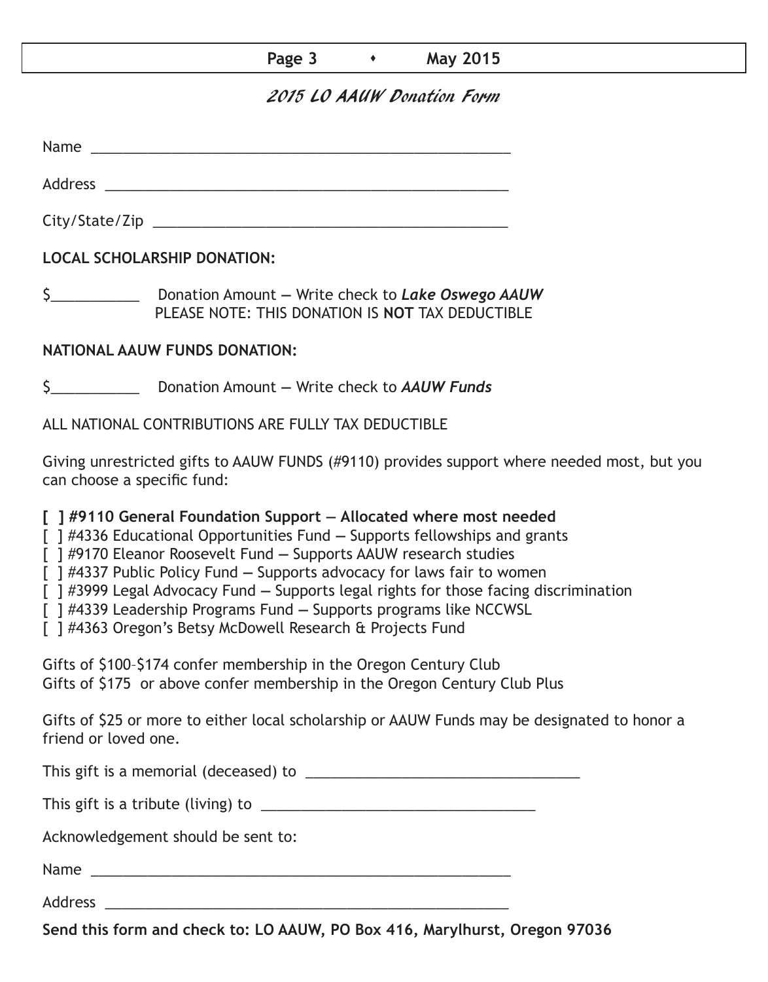#### **Page 3 • May 2015**

## 2015 LO AAUW Donation Form

Name was also as  $\sim$  100  $\mu$  and  $\mu$  and  $\mu$  and  $\mu$  and  $\mu$  and  $\mu$  and  $\mu$  and  $\mu$  and  $\mu$  and  $\mu$  and  $\mu$  and  $\mu$  and  $\mu$  and  $\mu$  and  $\mu$  and  $\mu$  and  $\mu$  and  $\mu$  and  $\mu$  and  $\mu$  and  $\mu$  and  $\mu$  an

City/State/Zip \_\_\_\_\_\_\_\_\_\_\_\_\_\_\_\_\_\_\_\_\_\_\_\_\_\_\_\_\_\_\_\_\_\_\_\_\_\_\_\_\_\_\_\_

Address \_\_\_\_\_\_\_\_\_\_\_\_\_\_\_\_\_\_\_\_\_\_\_\_\_\_\_\_\_\_\_\_\_\_\_\_\_\_\_\_\_\_\_\_\_\_\_\_\_\_

**LOCAL SCHOLARSHIP DONATION:**

\$\_\_\_\_\_\_\_\_\_\_\_ Donation Amount **—** Write check to *Lake Oswego AAUW* PLEASE NOTE: THIS DONATION IS **NOT** TAX DEDUCTIBLE

## **NATIONAL AAUW FUNDS DONATION:**

\$\_\_\_\_\_\_\_\_\_\_\_ Donation Amount **—** Write check to *AAUW Funds*

ALL NATIONAL CONTRIBUTIONS ARE FULLY TAX DEDUCTIBLE

Giving unrestricted gifts to AAUW FUNDS (#9110) provides support where needed most, but you can choose a specific fund:

**[ ] #9110 General Foundation Support — Allocated where most needed** 

[ ] #4336 Educational Opportunities Fund **—** Supports fellowships and grants

[ ] #9170 Eleanor Roosevelt Fund **—** Supports AAUW research studies

[ ] #4337 Public Policy Fund **—** Supports advocacy for laws fair to women

[ ] #3999 Legal Advocacy Fund **—** Supports legal rights for those facing discrimination

[ ] #4339 Leadership Programs Fund **—** Supports programs like NCCWSL

[ ] #4363 Oregon's Betsy McDowell Research & Projects Fund

Gifts of \$100–\$174 confer membership in the Oregon Century Club Gifts of \$175 or above confer membership in the Oregon Century Club Plus

Gifts of \$25 or more to either local scholarship or AAUW Funds may be designated to honor a friend or loved one.

This gift is a memorial (deceased) to \_\_\_\_\_\_\_\_\_\_\_\_\_\_\_\_\_\_\_\_\_\_\_\_\_\_\_\_\_\_\_\_\_\_

This gift is a tribute (living) to \_\_\_\_\_\_\_\_\_\_\_\_\_\_\_\_\_\_\_\_\_\_\_\_\_\_\_\_\_\_\_\_\_\_

Acknowledgement should be sent to:

Name \_\_\_\_\_\_\_\_\_\_\_\_\_\_\_\_\_\_\_\_\_\_\_\_\_\_\_\_\_\_\_\_\_\_\_\_\_\_\_\_\_\_\_\_\_\_\_\_\_\_\_\_

Address \_\_\_\_\_\_\_\_\_\_\_\_\_\_\_\_\_\_\_\_\_\_\_\_\_\_\_\_\_\_\_\_\_\_\_\_\_\_\_\_\_\_\_\_\_\_\_\_\_\_

**Send this form and check to: LO AAUW, PO Box 416, Marylhurst, Oregon 97036**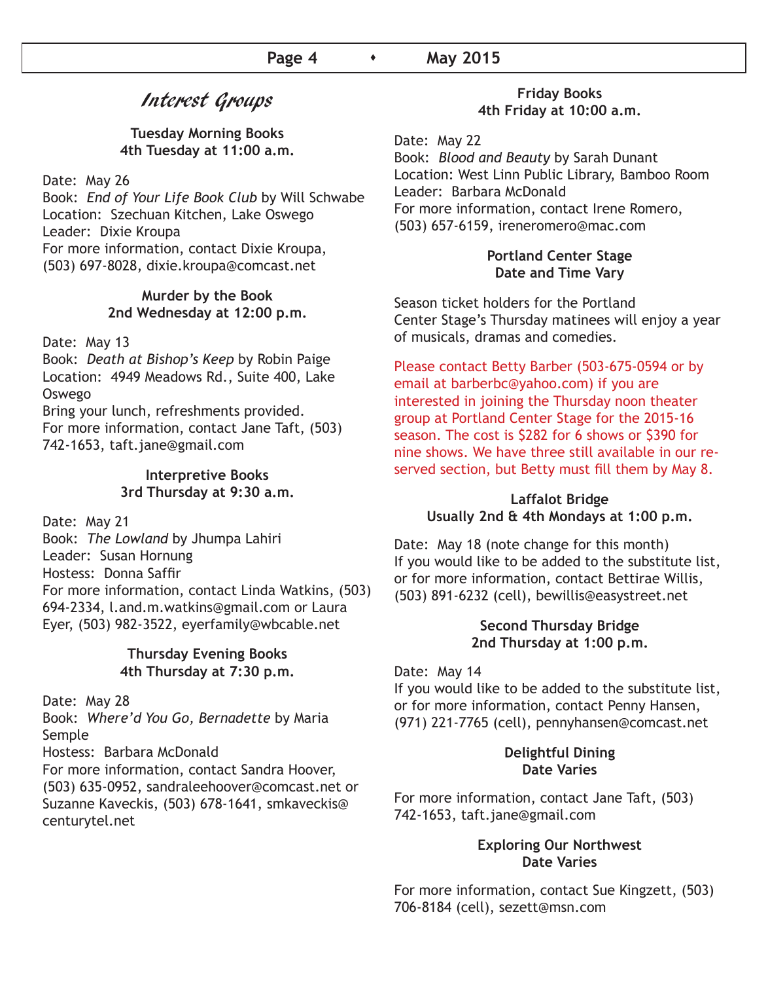## Interest Groups

#### **Tuesday Morning Books 4th Tuesday at 11:00 a.m.**

Date: May 26

Book: *End of Your Life Book Club* by Will Schwabe Location: Szechuan Kitchen, Lake Oswego Leader: Dixie Kroupa For more information, contact Dixie Kroupa, (503) 697-8028, dixie.kroupa@comcast.net

#### **Murder by the Book 2nd Wednesday at 12:00 p.m.**

Date: May 13

Book: *Death at Bishop's Keep* by Robin Paige Location: 4949 Meadows Rd., Suite 400, Lake Oswego

Bring your lunch, refreshments provided. For more information, contact Jane Taft, (503) 742-1653, taft.jane@gmail.com

#### **Interpretive Books 3rd Thursday at 9:30 a.m.**

Date: May 21

Book: *The Lowland* by Jhumpa Lahiri Leader: Susan Hornung Hostess: Donna Saffir For more information, contact Linda Watkins, (503) 694-2334, l.and.m.watkins@gmail.com or Laura Eyer, (503) 982-3522, eyerfamily@wbcable.net

#### **Thursday Evening Books 4th Thursday at 7:30 p.m.**

Date: May 28

Book: *Where'd You Go, Bernadette* by Maria Semple

Hostess: Barbara McDonald

For more information, contact Sandra Hoover, (503) 635-0952, sandraleehoover@comcast.net or Suzanne Kaveckis, (503) 678-1641, smkaveckis@ centurytel.net

#### **Friday Books 4th Friday at 10:00 a.m.**

Date: May 22

Book: *Blood and Beauty* by Sarah Dunant Location: West Linn Public Library, Bamboo Room Leader: Barbara McDonald For more information, contact Irene Romero, (503) 657-6159, ireneromero@mac.com

#### **Portland Center Stage Date and Time Vary**

Season ticket holders for the Portland Center Stage's Thursday matinees will enjoy a year of musicals, dramas and comedies.

Please contact Betty Barber (503-675-0594 or by email at barberbc@yahoo.com) if you are interested in joining the Thursday noon theater group at Portland Center Stage for the 2015-16 season. The cost is \$282 for 6 shows or \$390 for nine shows. We have three still available in our reserved section, but Betty must fill them by May 8.

#### **Laffalot Bridge Usually 2nd & 4th Mondays at 1:00 p.m.**

Date: May 18 (note change for this month) If you would like to be added to the substitute list, or for more information, contact Bettirae Willis, (503) 891-6232 (cell), bewillis@easystreet.net

#### **Second Thursday Bridge 2nd Thursday at 1:00 p.m.**

#### Date: May 14

If you would like to be added to the substitute list, or for more information, contact Penny Hansen, (971) 221-7765 (cell), pennyhansen@comcast.net

#### **Delightful Dining Date Varies**

For more information, contact Jane Taft, (503) 742-1653, taft.jane@gmail.com

#### **Exploring Our Northwest Date Varies**

For more information, contact Sue Kingzett, (503) 706-8184 (cell), sezett@msn.com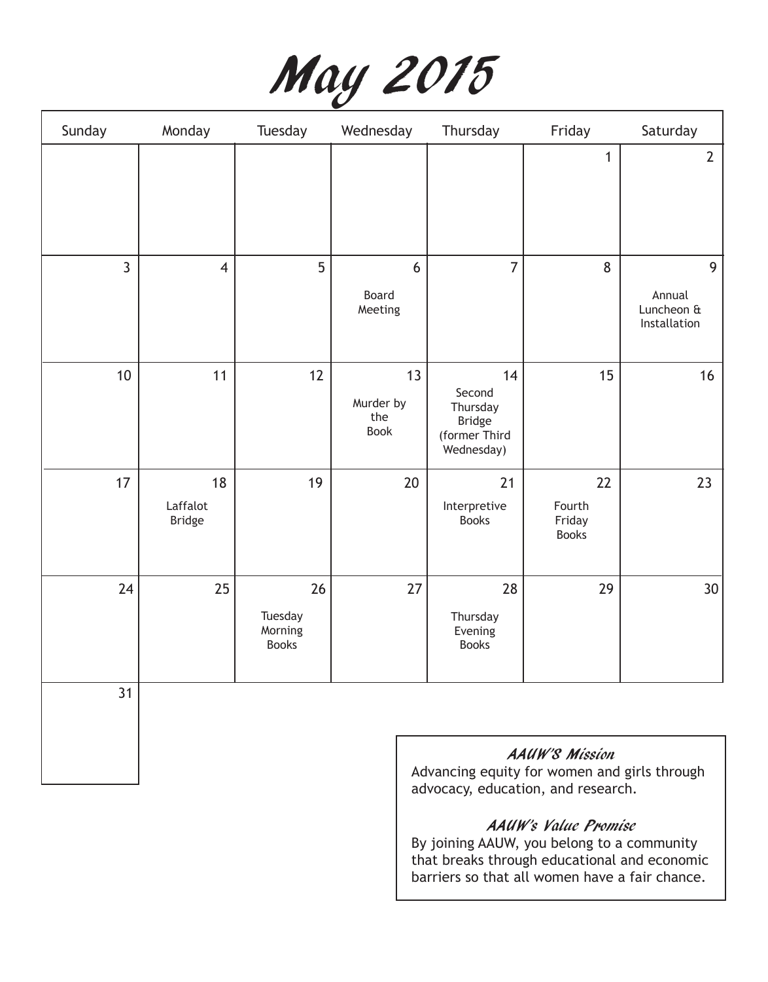|  | May 2015 |
|--|----------|
|--|----------|

| Sunday         | Monday                          | Tuesday                                  | Wednesday                             | Thursday                                                                 | Friday                                 | Saturday                                  |
|----------------|---------------------------------|------------------------------------------|---------------------------------------|--------------------------------------------------------------------------|----------------------------------------|-------------------------------------------|
|                |                                 |                                          |                                       |                                                                          | $\mathbf{1}$                           | $\overline{2}$                            |
| $\overline{3}$ | $\overline{4}$                  | 5                                        | 6<br>Board<br>Meeting                 | $\overline{7}$                                                           | 8                                      | 9<br>Annual<br>Luncheon &<br>Installation |
| 10             | 11                              | 12                                       | 13<br>Murder by<br>the<br><b>Book</b> | 14<br>Second<br>Thursday<br><b>Bridge</b><br>(former Third<br>Wednesday) | 15                                     | 16                                        |
| 17             | 18<br>Laffalot<br><b>Bridge</b> | 19                                       | 20                                    | 21<br>Interpretive<br><b>Books</b>                                       | 22<br>Fourth<br>Friday<br><b>Books</b> | 23                                        |
| 24             | 25                              | 26<br>Tuesday<br>Morning<br><b>Books</b> | 27                                    | 28<br>Thursday<br>Evening<br><b>Books</b>                                | 29                                     | 30 <sup>°</sup>                           |
| 31             |                                 |                                          |                                       |                                                                          |                                        |                                           |

AAUW'S Mission

Advancing equity for women and girls through advocacy, education, and research.

## AAUW's Value Promise

By joining AAUW, you belong to a community that breaks through educational and economic barriers so that all women have a fair chance.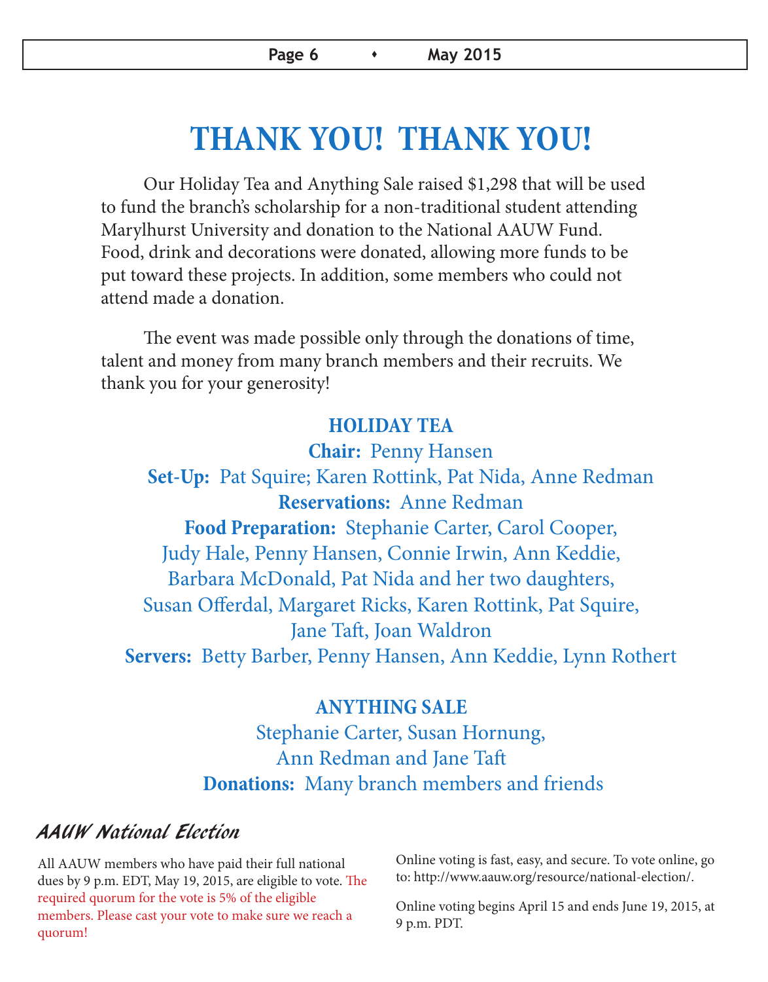# **THANK YOU! THANK YOU!**

Our Holiday Tea and Anything Sale raised \$1,298 that will be used to fund the branch's scholarship for a non-traditional student attending Marylhurst University and donation to the National AAUW Fund. Food, drink and decorations were donated, allowing more funds to be put toward these projects. In addition, some members who could not attend made a donation.

The event was made possible only through the donations of time, talent and money from many branch members and their recruits. We thank you for your generosity!

## **HOLIDAY TEA**

 **Chair:** Penny Hansen **Set-Up:** Pat Squire; Karen Rottink, Pat Nida, Anne Redman **Reservations:** Anne Redman **Food Preparation:** Stephanie Carter, Carol Cooper, Judy Hale, Penny Hansen, Connie Irwin, Ann Keddie, Barbara McDonald, Pat Nida and her two daughters, Susan Offerdal, Margaret Ricks, Karen Rottink, Pat Squire, Jane Taft, Joan Waldron **Servers:** Betty Barber, Penny Hansen, Ann Keddie, Lynn Rothert

## **ANYTHING SALE**

 Stephanie Carter, Susan Hornung, Ann Redman and Jane Taft **Donations:** Many branch members and friends

## AAUW National Election

All AAUW members who have paid their full national dues by 9 p.m. EDT, May 19, 2015, are eligible to vote. The required quorum for the vote is 5% of the eligible members. Please cast your vote to make sure we reach a quorum!

Online voting is fast, easy, and secure. To vote online, go to: http://www.aauw.org/resource/national-election/.

Online voting begins April 15 and ends June 19, 2015, at 9 p.m. PDT.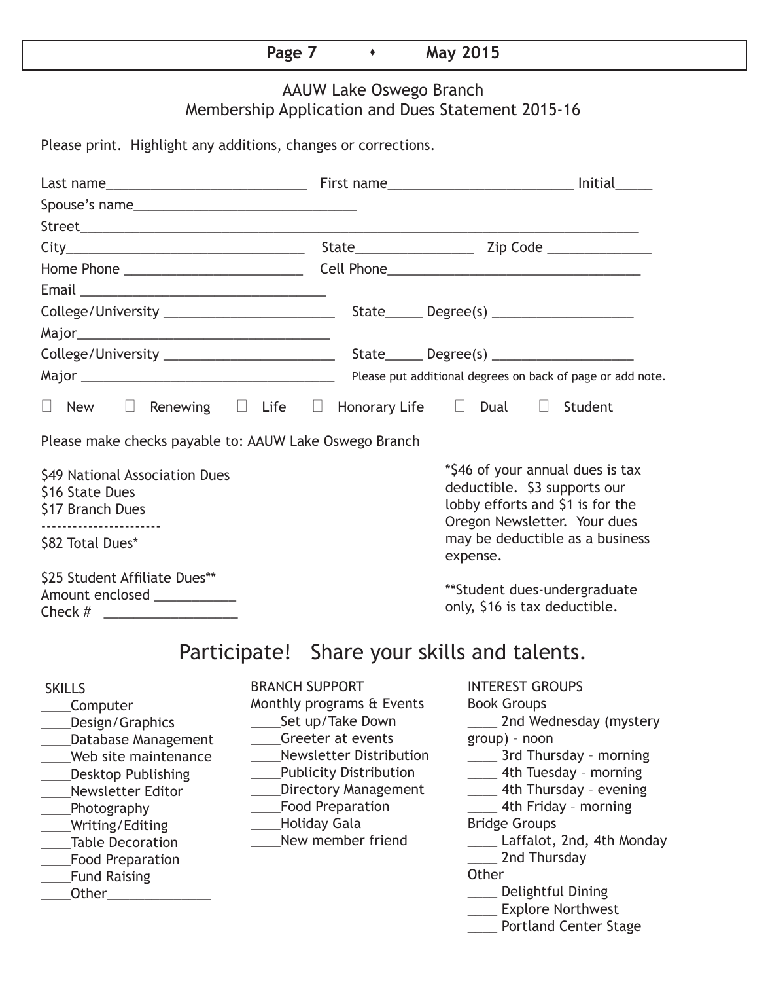## **Page 7 • May 2015**

## AAUW Lake Oswego Branch Membership Application and Dues Statement 2015-16

Please print. Highlight any additions, changes or corrections.

| Renewing $\Box$ Life $\Box$ Honorary Life $\Box$ Dual $\Box$ Student<br>$\Box$ New<br>$\Box$                                                                                                                                                                                                                                                                                                                                                                                                       |                                                                                                                                                |                                                                                                                                      |                                                                                                |                                                                                                                                                                                                                                                                            |
|----------------------------------------------------------------------------------------------------------------------------------------------------------------------------------------------------------------------------------------------------------------------------------------------------------------------------------------------------------------------------------------------------------------------------------------------------------------------------------------------------|------------------------------------------------------------------------------------------------------------------------------------------------|--------------------------------------------------------------------------------------------------------------------------------------|------------------------------------------------------------------------------------------------|----------------------------------------------------------------------------------------------------------------------------------------------------------------------------------------------------------------------------------------------------------------------------|
| Please make checks payable to: AAUW Lake Oswego Branch                                                                                                                                                                                                                                                                                                                                                                                                                                             |                                                                                                                                                |                                                                                                                                      |                                                                                                |                                                                                                                                                                                                                                                                            |
| \$49 National Association Dues<br>\$16 State Dues<br>\$17 Branch Dues                                                                                                                                                                                                                                                                                                                                                                                                                              |                                                                                                                                                | *\$46 of your annual dues is tax<br>deductible. \$3 supports our<br>lobby efforts and \$1 is for the<br>Oregon Newsletter. Your dues |                                                                                                |                                                                                                                                                                                                                                                                            |
| \$82 Total Dues*                                                                                                                                                                                                                                                                                                                                                                                                                                                                                   | may be deductible as a business<br>expense.                                                                                                    |                                                                                                                                      |                                                                                                |                                                                                                                                                                                                                                                                            |
| \$25 Student Affiliate Dues**<br>Amount enclosed ____________                                                                                                                                                                                                                                                                                                                                                                                                                                      |                                                                                                                                                |                                                                                                                                      | only, \$16 is tax deductible.                                                                  | **Student dues-undergraduate                                                                                                                                                                                                                                               |
|                                                                                                                                                                                                                                                                                                                                                                                                                                                                                                    |                                                                                                                                                | Participate! Share your skills and talents.                                                                                          |                                                                                                |                                                                                                                                                                                                                                                                            |
| <b>SKILLS</b><br>Computer<br>Design/Graphics<br>Database Management<br>Web site maintenance<br><b>Desktop Publishing</b><br>Newsletter Editor<br>Photography<br>Writing/Editing<br><b>Table Decoration</b><br><b>Food Preparation</b><br><b>Fund Raising</b><br><b>Other Contract Contract Contract Contract Contract Contract Contract Contract Contract Contract Contract Contract Contract Contract Contract Contract Contract Contract Contract Contract Contract Contract Contract Contra</b> | <b>BRANCH SUPPORT</b><br>Monthly programs & Events<br>_Set up/Take Down<br>Greeter at events<br><b>Food Preparation</b><br><b>Holiday Gala</b> | <b>Newsletter Distribution</b><br><b>Publicity Distribution</b><br><b>Directory Management</b><br>New member friend                  | <b>INTEREST GROUPS</b><br><b>Book Groups</b><br>group) - noon<br><b>Bridge Groups</b><br>Other | 2nd Wednesday (mystery<br>____ 3rd Thursday - morning<br>_____ 4th Tuesday - morning<br>__ 4th Thursday - evening<br>4th Friday - morning<br>Laffalot, 2nd, 4th Monday<br>2nd Thursday<br>____ Delightful Dining<br>____ Explore Northwest<br><b>Portland Center Stage</b> |